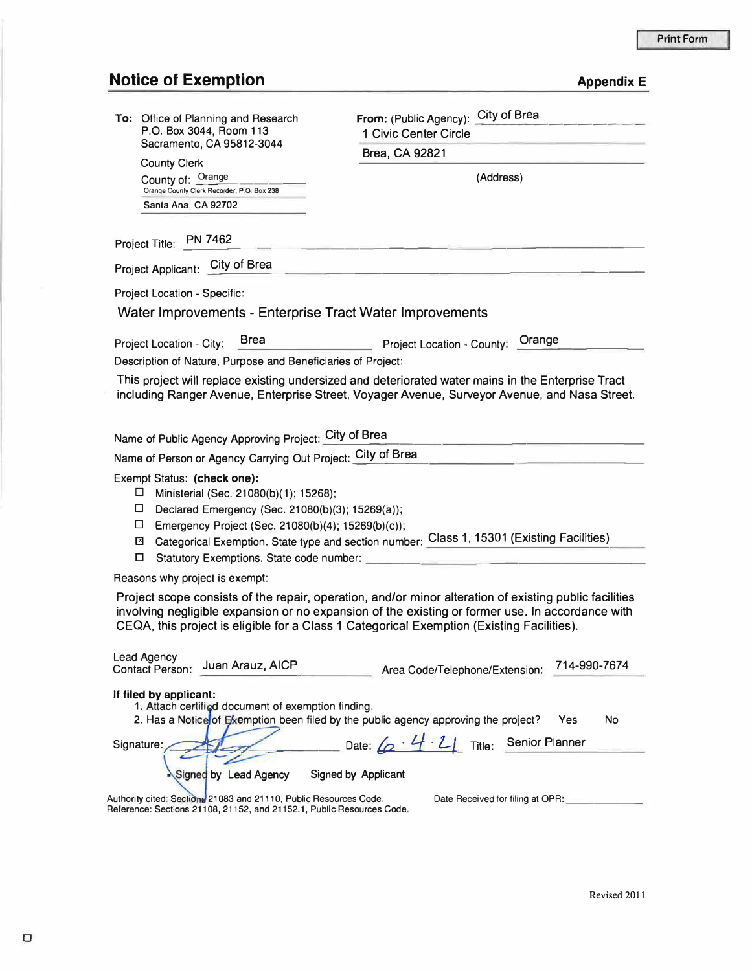## **Notice of Exemption** *Appendix E*

| To: Office of Planning and Research<br>P.O. Box 3044, Room 113<br>Sacramento, CA 95812-3044                                                                                                         | City of Brea<br>From: (Public Agency):                                                                                                                                                        |
|-----------------------------------------------------------------------------------------------------------------------------------------------------------------------------------------------------|-----------------------------------------------------------------------------------------------------------------------------------------------------------------------------------------------|
|                                                                                                                                                                                                     | 1 Civic Center Circle                                                                                                                                                                         |
|                                                                                                                                                                                                     | Brea, CA 92821                                                                                                                                                                                |
| <b>County Clerk</b><br>County of: Orange                                                                                                                                                            | (Address)                                                                                                                                                                                     |
| Orange County Clerk Recorder, P.O. Box 238                                                                                                                                                          |                                                                                                                                                                                               |
| Santa Ana, CA 92702                                                                                                                                                                                 |                                                                                                                                                                                               |
| Project Title: PN 7462                                                                                                                                                                              |                                                                                                                                                                                               |
| Project Applicant: City of Brea                                                                                                                                                                     |                                                                                                                                                                                               |
| Project Location - Specific:                                                                                                                                                                        |                                                                                                                                                                                               |
| Water Improvements - Enterprise Tract Water Improvements                                                                                                                                            |                                                                                                                                                                                               |
| <b>Brea</b>                                                                                                                                                                                         |                                                                                                                                                                                               |
| Project Location - City:                                                                                                                                                                            | Project Location - County: Orange                                                                                                                                                             |
| Description of Nature, Purpose and Beneficiaries of Project:                                                                                                                                        |                                                                                                                                                                                               |
| This project will replace existing undersized and deteriorated water mains in the Enterprise Tract<br>including Ranger Avenue, Enterprise Street, Voyager Avenue, Surveyor Avenue, and Nasa Street. |                                                                                                                                                                                               |
|                                                                                                                                                                                                     |                                                                                                                                                                                               |
|                                                                                                                                                                                                     |                                                                                                                                                                                               |
| Name of Public Agency Approving Project: City of Brea                                                                                                                                               |                                                                                                                                                                                               |
| Name of Person or Agency Carrying Out Project: City of Brea                                                                                                                                         |                                                                                                                                                                                               |
| Exempt Status: (check one):<br>$\Box$<br>Ministerial (Sec. 21080(b)(1); 15268);                                                                                                                     |                                                                                                                                                                                               |
| $\Box$<br>Declared Emergency (Sec. 21080(b)(3); 15269(a));                                                                                                                                          |                                                                                                                                                                                               |
| $\Box$<br>Emergency Project (Sec. 21080(b)(4); 15269(b)(c));                                                                                                                                        |                                                                                                                                                                                               |
| −                                                                                                                                                                                                   | Categorical Exemption. State type and section number: Class 1, 15301 (Existing Facilities)                                                                                                    |
| □<br>Statutory Exemptions. State code number:                                                                                                                                                       |                                                                                                                                                                                               |
| Reasons why project is exempt:                                                                                                                                                                      |                                                                                                                                                                                               |
|                                                                                                                                                                                                     | Project scope consists of the repair, operation, and/or minor alteration of existing public facilities                                                                                        |
|                                                                                                                                                                                                     | involving negligible expansion or no expansion of the existing or former use. In accordance with<br>CEQA, this project is eligible for a Class 1 Categorical Exemption (Existing Facilities). |
|                                                                                                                                                                                                     |                                                                                                                                                                                               |
| <b>Lead Agency</b><br>Juan Arauz, AICP<br><b>Contact Person:</b>                                                                                                                                    | 714-990-7674<br>Area Code/Telephone/Extension:                                                                                                                                                |
|                                                                                                                                                                                                     |                                                                                                                                                                                               |
| If filed by applicant:<br>1. Attach certified document of exemption finding.                                                                                                                        |                                                                                                                                                                                               |
|                                                                                                                                                                                                     | 2. Has a Notice of Exemption been filed by the public agency approving the project?<br>No<br>Yes                                                                                              |
| Signature:                                                                                                                                                                                          | Date: $\left\{ \rho \cdot 4 \cdot 2 \right\}$ Title: Senior Planner                                                                                                                           |
|                                                                                                                                                                                                     |                                                                                                                                                                                               |
| Signed by Lead Agency                                                                                                                                                                               | Signed by Applicant                                                                                                                                                                           |
| Authority cited: Sections 21083 and 21110, Public Resources Code.                                                                                                                                   | Date Received for filing at OPR:                                                                                                                                                              |
| Reference: Sections 21108, 21152, and 21152.1, Public Resources Code.                                                                                                                               |                                                                                                                                                                                               |
|                                                                                                                                                                                                     |                                                                                                                                                                                               |